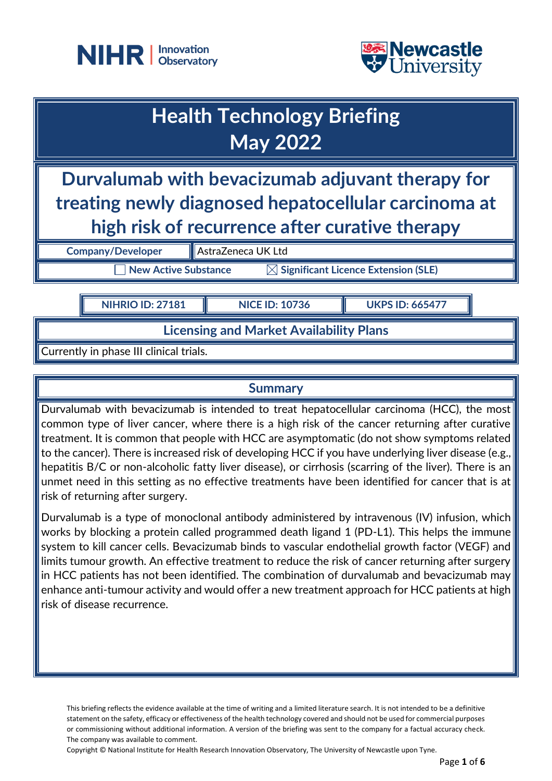



| <b>Health Technology Briefing</b><br><b>May 2022</b>                                                                                                       |                    |  |
|------------------------------------------------------------------------------------------------------------------------------------------------------------|--------------------|--|
| Durvalumab with bevacizumab adjuvant therapy for<br>treating newly diagnosed hepatocellular carcinoma at<br>high risk of recurrence after curative therapy |                    |  |
| <b>Company/Developer</b>                                                                                                                                   | AstraZeneca UK Ltd |  |
| $\boxtimes$ Significant Licence Extension (SLE)<br><b>New Active Substance</b>                                                                             |                    |  |

**NIHRIO ID: 27181 NICE ID: 10736 UKPS ID: 665477**

**Licensing and Market Availability Plans**

Currently in phase III clinical trials.

### **Summary**

Durvalumab with bevacizumab is intended to treat hepatocellular carcinoma (HCC), the most common type of liver cancer, where there is a high risk of the cancer returning after curative treatment. It is common that people with HCC are asymptomatic (do not show symptoms related to the cancer). There is increased risk of developing HCC if you have underlying liver disease (e.g., hepatitis B/C or non-alcoholic fatty liver disease), or cirrhosis (scarring of the liver). There is an unmet need in this setting as no effective treatments have been identified for cancer that is at risk of returning after surgery.

Durvalumab is a type of monoclonal antibody administered by intravenous (IV) infusion, which works by blocking a protein called programmed death ligand 1 (PD-L1). This helps the immune system to kill cancer cells. Bevacizumab binds to vascular endothelial growth factor (VEGF) and limits tumour growth. An effective treatment to reduce the risk of cancer returning after surgery in HCC patients has not been identified. The combination of durvalumab and bevacizumab may enhance anti-tumour activity and would offer a new treatment approach for HCC patients at high risk of disease recurrence.

This briefing reflects the evidence available at the time of writing and a limited literature search. It is not intended to be a definitive statement on the safety, efficacy or effectiveness of the health technology covered and should not be used for commercial purposes or commissioning without additional information. A version of the briefing was sent to the company for a factual accuracy check. The company was available to comment.

Copyright © National Institute for Health Research Innovation Observatory, The University of Newcastle upon Tyne.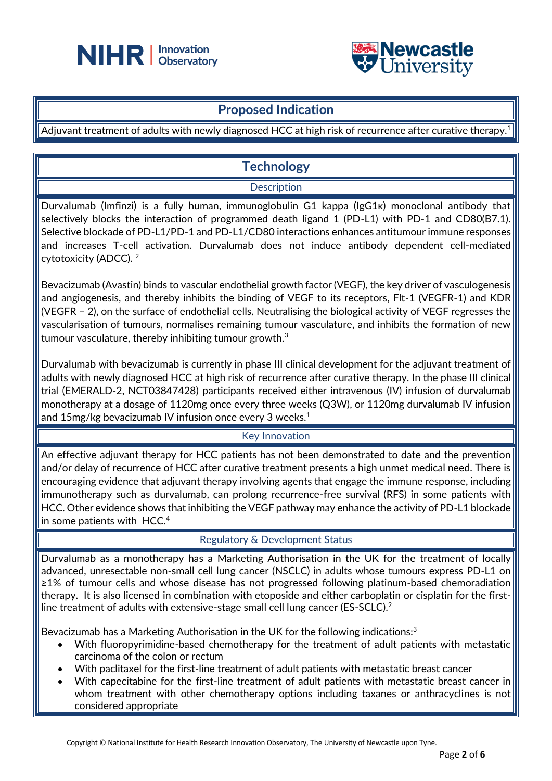



## **Proposed Indication**

Adjuvant treatment of adults with newly diagnosed HCC at high risk of recurrence after curative therapy. 1

## **Technology**

### **Description**

Durvalumab (Imfinzi) is a fully human, immunoglobulin G1 kappa (IgG1κ) monoclonal antibody that selectively blocks the interaction of programmed death ligand 1 (PD-L1) with PD-1 and CD80(B7.1). Selective blockade of PD-L1/PD-1 and PD-L1/CD80 interactions enhances antitumour immune responses and increases T-cell activation. Durvalumab does not induce antibody dependent cell-mediated cytotoxicity (ADCC). <sup>2</sup>

Bevacizumab (Avastin) binds to vascular endothelial growth factor (VEGF), the key driver of vasculogenesis and angiogenesis, and thereby inhibits the binding of VEGF to its receptors, Flt-1 (VEGFR-1) and KDR (VEGFR – 2), on the surface of endothelial cells. Neutralising the biological activity of VEGF regresses the vascularisation of tumours, normalises remaining tumour vasculature, and inhibits the formation of new tumour vasculature, thereby inhibiting tumour growth.<sup>3</sup>

Durvalumab with bevacizumab is currently in phase III clinical development for the adjuvant treatment of adults with newly diagnosed HCC at high risk of recurrence after curative therapy. In the phase III clinical trial (EMERALD-2, NCT03847428) participants received either intravenous (IV) infusion of durvalumab monotherapy at a dosage of 1120mg once every three weeks (Q3W), or 1120mg durvalumab IV infusion and 15mg/kg bevacizumab IV infusion once every 3 weeks. 1

### Key Innovation

An effective adjuvant therapy for HCC patients has not been demonstrated to date and the prevention and/or delay of recurrence of HCC after curative treatment presents a high unmet medical need. There is encouraging evidence that adjuvant therapy involving agents that engage the immune response, including immunotherapy such as durvalumab, can prolong recurrence-free survival (RFS) in some patients with HCC. Other evidence shows that inhibiting the VEGF pathway may enhance the activity of PD-L1 blockade in some patients with HCC.<sup>4</sup>

### Regulatory & Development Status

Durvalumab as a monotherapy has a Marketing Authorisation in the UK for the treatment of locally advanced, unresectable non-small cell lung cancer (NSCLC) in adults whose tumours express PD-L1 on ≥1% of tumour cells and whose disease has not progressed following platinum-based chemoradiation therapy. It is also licensed in combination with etoposide and either carboplatin or cisplatin for the firstline treatment of adults with extensive-stage small cell lung cancer (ES-SCLC).<sup>2</sup>

Bevacizumab has a Marketing Authorisation in the UK for the following indications:<sup>3</sup>

- With fluoropyrimidine-based chemotherapy for the treatment of adult patients with metastatic carcinoma of the colon or rectum
- With paclitaxel for the first-line treatment of adult patients with metastatic breast cancer
- With capecitabine for the first-line treatment of adult patients with metastatic breast cancer in whom treatment with other chemotherapy options including taxanes or anthracyclines is not considered appropriate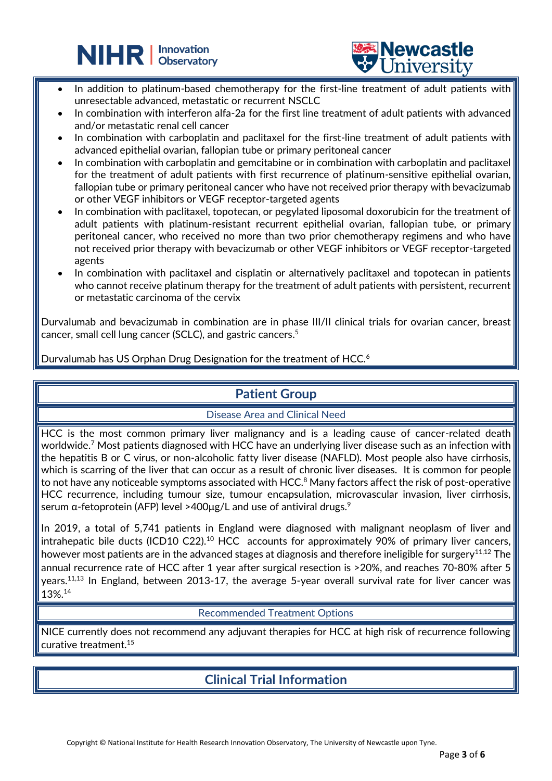



In addition to platinum-based chemotherapy for the first-line treatment of adult patients with unresectable advanced, metastatic or recurrent NSCLC

֦

- In combination with interferon alfa-2a for the first line treatment of adult patients with advanced and/or metastatic renal cell cancer
- In combination with carboplatin and paclitaxel for the first-line treatment of adult patients with advanced epithelial ovarian, fallopian tube or primary peritoneal cancer
- In combination with carboplatin and gemcitabine or in combination with carboplatin and paclitaxel for the treatment of adult patients with first recurrence of platinum-sensitive epithelial ovarian, fallopian tube or primary peritoneal cancer who have not received prior therapy with bevacizumab or other VEGF inhibitors or VEGF receptor-targeted agents
- In combination with paclitaxel, topotecan, or pegylated liposomal doxorubicin for the treatment of adult patients with platinum-resistant recurrent epithelial ovarian, fallopian tube, or primary peritoneal cancer, who received no more than two prior chemotherapy regimens and who have not received prior therapy with bevacizumab or other VEGF inhibitors or VEGF receptor-targeted agents
- In combination with paclitaxel and cisplatin or alternatively paclitaxel and topotecan in patients who cannot receive platinum therapy for the treatment of adult patients with persistent, recurrent | or metastatic carcinoma of the cervix

Durvalumab and bevacizumab in combination are in phase III/II clinical trials for ovarian cancer, breast cancer, small cell lung cancer (SCLC), and gastric cancers. 5

Durvalumab has US Orphan Drug Designation for the treatment of HCC.<sup>6</sup>

# **Patient Group**

### Disease Area and Clinical Need

HCC is the most common primary liver malignancy and is a leading cause of cancer-related death worldwide.<sup>7</sup> Most patients diagnosed with HCC have an underlying liver disease such as an infection with the hepatitis B or C virus, or non-alcoholic fatty liver disease (NAFLD). Most people also have cirrhosis, which is scarring of the liver that can occur as a result of chronic liver diseases. It is common for people to not have any noticeable symptoms associated with HCC. $^8$  Many factors affect the risk of post-operative HCC recurrence, including tumour size, tumour encapsulation, microvascular invasion, liver cirrhosis, serum α-fetoprotein (AFP) level >400μg/L and use of antiviral drugs.<sup>9</sup>

In 2019, a total of 5,741 patients in England were diagnosed with malignant neoplasm of liver and intrahepatic bile ducts (ICD10 C22).<sup>10</sup> HCC accounts for approximately 90% of primary liver cancers, however most patients are in the advanced stages at diagnosis and therefore ineligible for surgery<sup>11,12</sup> The annual recurrence rate of HCC after 1 year after surgical resection is >20%, and reaches 70-80% after 5 years.<sup>11,13</sup> In England, between 2013-17, the average 5-year overall survival rate for liver cancer was 13%. 14

### Recommended Treatment Options

NICE currently does not recommend any adjuvant therapies for HCC at high risk of recurrence following curative treatment.<sup>15</sup>

# **Clinical Trial Information**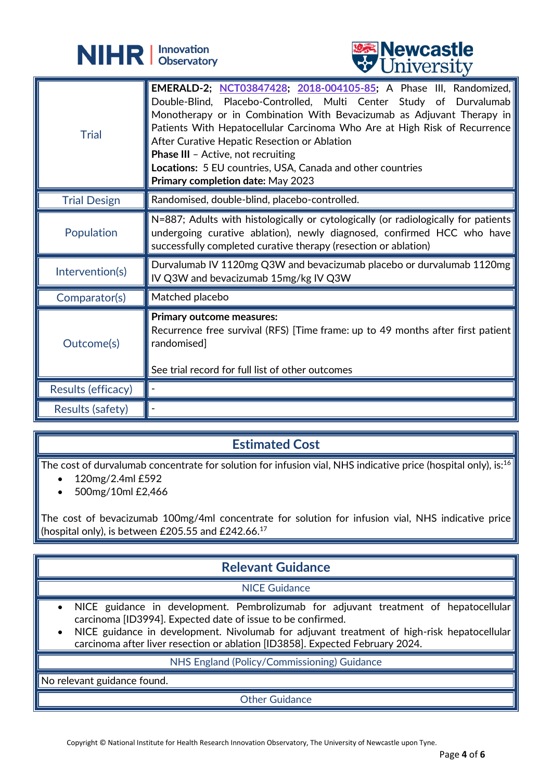



|                         | <b>A</b> CITTACT DIA                                                                                                                                                                                                                                                                                                                                                                                                                                                                         |
|-------------------------|----------------------------------------------------------------------------------------------------------------------------------------------------------------------------------------------------------------------------------------------------------------------------------------------------------------------------------------------------------------------------------------------------------------------------------------------------------------------------------------------|
| <b>Trial</b>            | EMERALD-2; NCT03847428; 2018-004105-85; A Phase III, Randomized,<br>Double-Blind, Placebo-Controlled, Multi Center Study of Durvalumab<br>Monotherapy or in Combination With Bevacizumab as Adjuvant Therapy in<br>Patients With Hepatocellular Carcinoma Who Are at High Risk of Recurrence<br>After Curative Hepatic Resection or Ablation<br><b>Phase III</b> - Active, not recruiting<br>Locations: 5 EU countries, USA, Canada and other countries<br>Primary completion date: May 2023 |
| <b>Trial Design</b>     | Randomised, double-blind, placebo-controlled.                                                                                                                                                                                                                                                                                                                                                                                                                                                |
| Population              | N=887; Adults with histologically or cytologically (or radiologically for patients<br>undergoing curative ablation), newly diagnosed, confirmed HCC who have<br>successfully completed curative therapy (resection or ablation)                                                                                                                                                                                                                                                              |
| Intervention(s)         | Durvalumab IV 1120mg Q3W and bevacizumab placebo or durvalumab 1120mg<br>IV Q3W and bevacizumab 15mg/kg IV Q3W                                                                                                                                                                                                                                                                                                                                                                               |
| Comparator(s)           | Matched placebo                                                                                                                                                                                                                                                                                                                                                                                                                                                                              |
| Outcome(s)              | <b>Primary outcome measures:</b><br>Recurrence free survival (RFS) [Time frame: up to 49 months after first patient  <br>randomised]<br>See trial record for full list of other outcomes                                                                                                                                                                                                                                                                                                     |
| Results (efficacy)      |                                                                                                                                                                                                                                                                                                                                                                                                                                                                                              |
| <b>Results (safety)</b> |                                                                                                                                                                                                                                                                                                                                                                                                                                                                                              |

## **Estimated Cost**

The cost of durvalumab concentrate for solution for infusion vial, NHS indicative price (hospital only), is:<sup>16</sup>

- 120mg/2.4ml £592
- 500mg/10ml £2,466

The cost of bevacizumab 100mg/4ml concentrate for solution for infusion vial, NHS indicative price (hospital only), is between £205.55 and £242.66.<sup>17</sup>

# **Relevant Guidance**

### NICE Guidance

- NICE guidance in development. Pembrolizumab for adjuvant treatment of hepatocellular carcinoma [ID3994]. Expected date of issue to be confirmed.
- NICE guidance in development. Nivolumab for adjuvant treatment of high-risk hepatocellular carcinoma after liver resection or ablation [ID3858]. Expected February 2024.

#### NHS England (Policy/Commissioning) Guidance

No relevant guidance found.

Other Guidance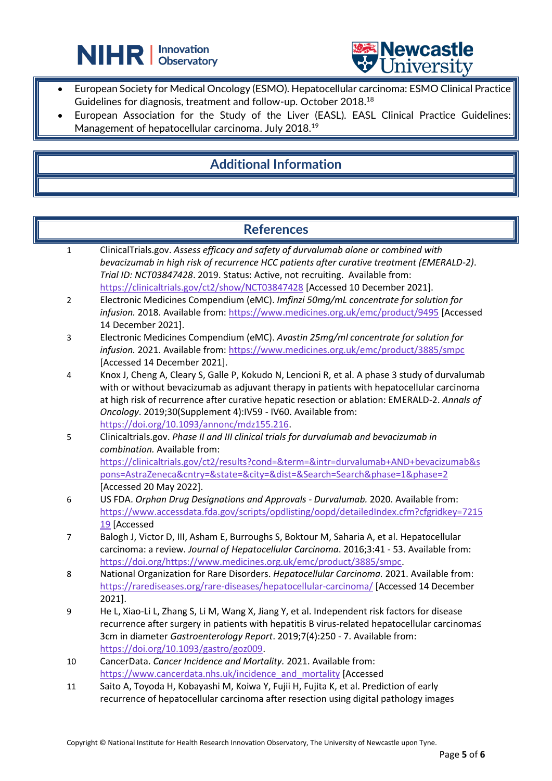



• European Society for Medical Oncology (ESMO). Hepatocellular carcinoma: ESMO Clinical Practice Guidelines for diagnosis, treatment and follow-up. October 2018.<sup>18</sup>

֦

European Association for the Study of the Liver (EASL). EASL Clinical Practice Guidelines: Management of hepatocellular carcinoma. July 2018.<sup>19</sup>

### **Additional Information**

### **References**

- 1 ClinicalTrials.gov. *Assess efficacy and safety of durvalumab alone or combined with bevacizumab in high risk of recurrence HCC patients after curative treatment (EMERALD-2)*. *Trial ID: NCT03847428*. 2019. Status: Active, not recruiting. Available from: <https://clinicaltrials.gov/ct2/show/NCT03847428> [Accessed 10 December 2021].
- 2 Electronic Medicines Compendium (eMC). *Imfinzi 50mg/mL concentrate for solution for infusion.* 2018. Available from[: https://www.medicines.org.uk/emc/product/9495](https://www.medicines.org.uk/emc/product/9495) [Accessed 14 December 2021].
- 3 Electronic Medicines Compendium (eMC). *Avastin 25mg/ml concentrate for solution for infusion.* 2021. Available from[: https://www.medicines.org.uk/emc/product/3885/smpc](https://www.medicines.org.uk/emc/product/3885/smpc) [Accessed 14 December 2021].
- 4 Knox J, Cheng A, Cleary S, Galle P, Kokudo N, Lencioni R, et al. A phase 3 study of durvalumab with or without bevacizumab as adjuvant therapy in patients with hepatocellular carcinoma at high risk of recurrence after curative hepatic resection or ablation: EMERALD-2. *Annals of Oncology*. 2019;30(Supplement 4):IV59 - IV60. Available from: [https://doi.org/10.1093/annonc/mdz155.216.](https://doi.org/10.1093/annonc/mdz155.216)
- 5 Clinicaltrials.gov. *Phase II and III clinical trials for durvalumab and bevacizumab in combination.* Available from: [https://clinicaltrials.gov/ct2/results?cond=&term=&intr=durvalumab+AND+bevacizumab&s](https://clinicaltrials.gov/ct2/results?cond=&term=&intr=durvalumab+AND+bevacizumab&spons=AstraZeneca&cntry=&state=&city=&dist=&Search=Search&phase=1&phase=2) [pons=AstraZeneca&cntry=&state=&city=&dist=&Search=Search&phase=1&phase=2](https://clinicaltrials.gov/ct2/results?cond=&term=&intr=durvalumab+AND+bevacizumab&spons=AstraZeneca&cntry=&state=&city=&dist=&Search=Search&phase=1&phase=2) [Accessed 20 May 2022].
- 6 US FDA. *Orphan Drug Designations and Approvals - Durvalumab.* 2020. Available from: [https://www.accessdata.fda.gov/scripts/opdlisting/oopd/detailedIndex.cfm?cfgridkey=7215](https://www.accessdata.fda.gov/scripts/opdlisting/oopd/detailedIndex.cfm?cfgridkey=721519) [19](https://www.accessdata.fda.gov/scripts/opdlisting/oopd/detailedIndex.cfm?cfgridkey=721519) [Accessed
- 7 Balogh J, Victor D, III, Asham E, Burroughs S, Boktour M, Saharia A, et al. Hepatocellular carcinoma: a review. *Journal of Hepatocellular Carcinoma*. 2016;3:41 - 53. Available from: [https://doi.org/https://www.medicines.org.uk/emc/product/3885/smpc.](https://doi.org/https:/www.medicines.org.uk/emc/product/3885/smpc)
- 8 National Organization for Rare Disorders. *Hepatocellular Carcinoma.* 2021. Available from: <https://rarediseases.org/rare-diseases/hepatocellular-carcinoma/> [Accessed 14 December 2021].
- 9 He L, Xiao-Li L, Zhang S, Li M, Wang X, Jiang Y, et al. Independent risk factors for disease recurrence after surgery in patients with hepatitis B virus-related hepatocellular carcinoma≤ 3cm in diameter *Gastroenterology Report*. 2019;7(4):250 - 7. Available from: [https://doi.org/10.1093/gastro/goz009.](https://doi.org/10.1093/gastro/goz009)
- 10 CancerData. *Cancer Incidence and Mortality.* 2021. Available from: [https://www.cancerdata.nhs.uk/incidence\\_and\\_mortality](https://www.cancerdata.nhs.uk/incidence_and_mortality) [Accessed
- 11 Saito A, Toyoda H, Kobayashi M, Koiwa Y, Fujii H, Fujita K, et al. Prediction of early recurrence of hepatocellular carcinoma after resection using digital pathology images